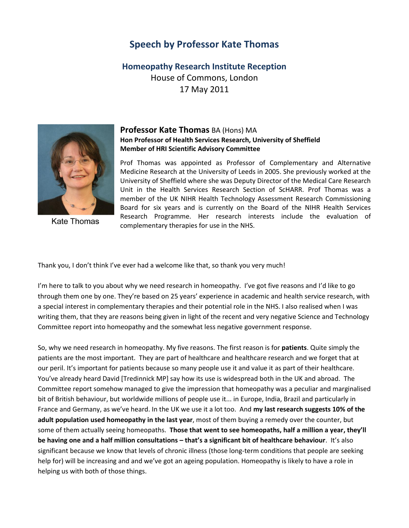## **Speech by Professor Kate Thomas**

**Homeopathy Research Institute Reception** House of Commons, London 17 May 2011



**Kate Thomas** 

## **Professor Kate Thomas** BA (Hons) MA **Hon Professor of Health Services Research, University of Sheffield Member of HRI Scientific Advisory Committee**

Prof Thomas was appointed as Professor of Complementary and Alternative Medicine Research at the University of Leeds in 2005. She previously worked at the University of Sheffield where she was Deputy Director of the Medical Care Research Unit in the Health Services Research Section of ScHARR. Prof Thomas was a member of the UK NIHR Health Technology Assessment Research Commissioning Board for six years and is currently on the Board of the NIHR Health Services Research Programme. Her research interests include the evaluation of complementary therapies for use in the NHS.

Thank you, I don't think I've ever had a welcome like that, so thank you very much!

I'm here to talk to you about why we need research in homeopathy. I've got five reasons and I'd like to go through them one by one. They're based on 25 years' experience in academic and health service research, with a special interest in complementary therapies and their potential role in the NHS. I also realised when I was writing them, that they are reasons being given in light of the recent and very negative Science and Technology Committee report into homeopathy and the somewhat less negative government response.

So, why we need research in homeopathy. My five reasons. The first reason is for **patients**. Quite simply the patients are the most important. They are part of healthcare and healthcare research and we forget that at our peril. It's important for patients because so many people use it and value it as part of their healthcare. You've already heard David [Tredinnick MP] say how its use is widespread both in the UK and abroad. The Committee report somehow managed to give the impression that homeopathy was a peculiar and marginalised bit of British behaviour, but worldwide millions of people use it... in Europe, India, Brazil and particularly in France and Germany, as we've heard. In the UK we use it a lot too. And **my last research suggests 10% of the adult population used homeopathy in the last year**, most of them buying a remedy over the counter, but some of them actually seeing homeopaths. **Those that went to see homeopaths, half a million a year, they'll be having one and a half million consultations – that's a significant bit of healthcare behaviour**. It's also significant because we know that levels of chronic illness (those long-term conditions that people are seeking help for) will be increasing and and we've got an ageing population. Homeopathy is likely to have a role in helping us with both of those things.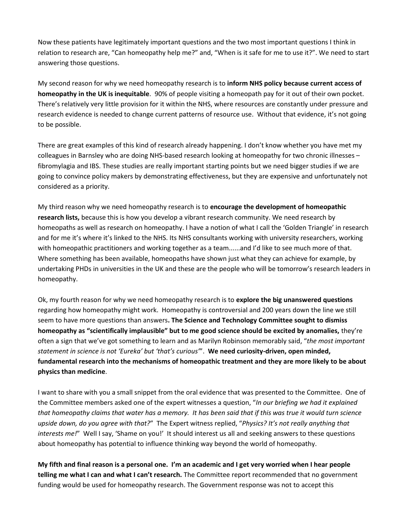Now these patients have legitimately important questions and the two most important questions I think in relation to research are, "Can homeopathy help me?" and, "When is it safe for me to use it?". We need to start answering those questions.

My second reason for why we need homeopathy research is to **inform NHS policy because current access of homeopathy in the UK is inequitable**. 90% of people visiting a homeopath pay for it out of their own pocket. There's relatively very little provision for it within the NHS, where resources are constantly under pressure and research evidence is needed to change current patterns of resource use. Without that evidence, it's not going to be possible.

There are great examples of this kind of research already happening. I don't know whether you have met my colleagues in Barnsley who are doing NHS-based research looking at homeopathy for two chronic illnesses – fibromylagia and IBS. These studies are really important starting points but we need bigger studies if we are going to convince policy makers by demonstrating effectiveness, but they are expensive and unfortunately not considered as a priority.

My third reason why we need homeopathy research is to **encourage the development of homeopathic research lists,** because this is how you develop a vibrant research community. We need research by homeopaths as well as research on homeopathy. I have a notion of what I call the 'Golden Triangle' in research and for me it's where it's linked to the NHS. Its NHS consultants working with university researchers, working with homeopathic practitioners and working together as a team......and I'd like to see much more of that. Where something has been available, homeopaths have shown just what they can achieve for example, by undertaking PHDs in universities in the UK and these are the people who will be tomorrow's research leaders in homeopathy.

Ok, my fourth reason for why we need homeopathy research is to **explore the big unanswered questions** regarding how homeopathy might work. Homeopathy is controversial and 200 years down the line we still seem to have more questions than answers**. The Science and Technology Committee sought to dismiss homeopathy as "scientifically implausible" but to me good science should be excited by anomalies,** they're often a sign that we've got something to learn and as Marilyn Robinson memorably said, "*the most important statement in science is not 'Eureka' but 'that's curious'*". **We need curiosity-driven, open minded, fundamental research into the mechanisms of homeopathic treatment and they are more likely to be about physics than medicine**.

I want to share with you a small snippet from the oral evidence that was presented to the Committee. One of the Committee members asked one of the expert witnesses a question, "*In our briefing we had it explained that homeopathy claims that water has a memory. It has been said that if this was true it would turn science upside down, do you agree with that?*" The Expert witness replied, "*Physics? It's not really anything that interests me!*" Well I say, 'Shame on you!' It should interest us all and seeking answers to these questions about homeopathy has potential to influence thinking way beyond the world of homeopathy.

**My fifth and final reason is a personal one. I'm an academic and I get very worried when I hear people telling me what I can and what I can't research.** The Committee report recommended that no government funding would be used for homeopathy research. The Government response was not to accept this